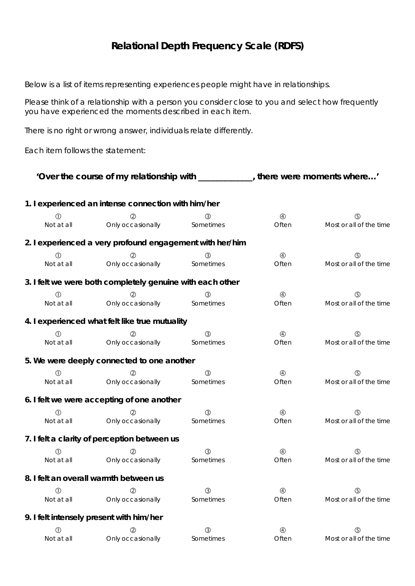## **Relational Depth Frequency Scale (RDFS)**

Below is a list of items representing experiences people might have in relationships.

Please think of a relationship with a person you consider close to you and select how frequently you have experienced the moments described in each item.

There is no right or wrong answer, individuals relate differently.

Each item follows the statement:

| 'Over the course of my relationship with ___________, there were moments where' |                                                           |               |                |                         |  |  |  |
|---------------------------------------------------------------------------------|-----------------------------------------------------------|---------------|----------------|-------------------------|--|--|--|
| 1. I experienced an intense connection with him/her                             |                                                           |               |                |                         |  |  |  |
| $\circled{0}$                                                                   | (2)                                                       | (3)           | $\circledA$    | $\circledS$             |  |  |  |
| Not at all                                                                      | Only occasionally                                         | Sometimes     | Often          | Most or all of the time |  |  |  |
|                                                                                 | 2. I experienced a very profound engagement with her/him  |               |                |                         |  |  |  |
| $\circledD$                                                                     |                                                           | 3             | $\circledA$    | (5)                     |  |  |  |
| Not at all                                                                      | Only occasionally                                         | Sometimes     | Often          | Most or all of the time |  |  |  |
|                                                                                 | 3. I felt we were both completely genuine with each other |               |                |                         |  |  |  |
| ⋒                                                                               |                                                           | 3             | $\circledA$    | $\circledS$             |  |  |  |
| Not at all                                                                      | Only occasionally                                         | Sometimes     | Often          | Most or all of the time |  |  |  |
|                                                                                 | 4. I experienced what felt like true mutuality            |               |                |                         |  |  |  |
| $\bigcirc$                                                                      |                                                           | $\circled{3}$ | $\circledA$    | $\circledS$             |  |  |  |
| Not at all                                                                      | Only occasionally                                         | Sometimes     | Often          | Most or all of the time |  |  |  |
|                                                                                 | 5. We were deeply connected to one another                |               |                |                         |  |  |  |
| $\circ$                                                                         |                                                           | (3)           | $^{\circledR}$ | $\circledS$             |  |  |  |
| Not at all                                                                      | Only occasionally                                         | Sometimes     | Often          | Most or all of the time |  |  |  |
|                                                                                 | 6. I felt we were accepting of one another                |               |                |                         |  |  |  |
| $\circled{0}$                                                                   | (2)                                                       | $\circledS$   | $\circledA$    | $\circledS$             |  |  |  |
| Not at all                                                                      | Only occasionally                                         | Sometimes     | Often          | Most or all of the time |  |  |  |
|                                                                                 | 7. I felt a clarity of perception between us              |               |                |                         |  |  |  |
| ⋒                                                                               |                                                           | ③             | $^{\circledR}$ | $\circledS$             |  |  |  |
| Not at all                                                                      | Only occasionally                                         | Sometimes     | Often          | Most or all of the time |  |  |  |
|                                                                                 | 8. I felt an overall warmth between us                    |               |                |                         |  |  |  |
| $\circled{0}$                                                                   | $^{\circledR}$                                            | $\circledS$   | $^{\circledR}$ | $\circledS$             |  |  |  |
| Not at all                                                                      | Only occasionally                                         | Sometimes     | Often          | Most or all of the time |  |  |  |
|                                                                                 | 9. I felt intensely present with him/her                  |               |                |                         |  |  |  |
| $\circled{0}$                                                                   | (2)                                                       | ③             | $\circledA$    | $\circledS$             |  |  |  |
| Not at all                                                                      | Only occasionally                                         | Sometimes     | Often          | Most or all of the time |  |  |  |